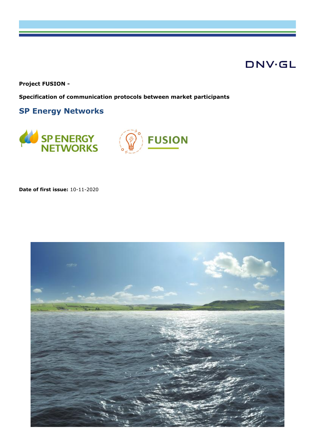# **DNV·GL**

**Project FUSION -**

**Specification of communication protocols between market participants**

**SP Energy Networks**





**Date of first issue:** 10-11-2020

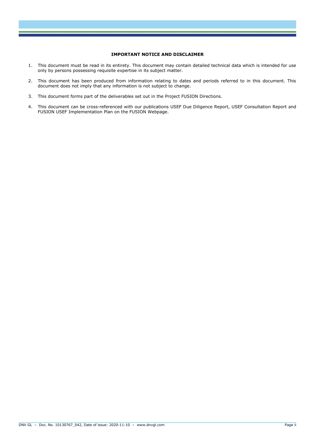#### **IMPORTANT NOTICE AND DISCLAIMER**

- 1. This document must be read in its entirety. This document may contain detailed technical data which is intended for use only by persons possessing requisite expertise in its subject matter.
- 2. This document has been produced from information relating to dates and periods referred to in this document. This document does not imply that any information is not subject to change.
- 3. This document forms part of the deliverables set out in the Project FUSION Directions.
- 4. This document can be cross-referenced with our publications USEF Due Diligence Report, USEF Consultation Report and FUSION USEF Implementation Plan on the FUSION Webpage.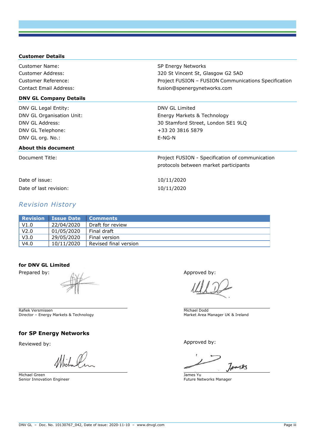| <b>Customer Details</b>       |                                                      |
|-------------------------------|------------------------------------------------------|
| Customer Name:                | SP Energy Networks                                   |
| Customer Address:             | 320 St Vincent St, Glasgow G2 5AD                    |
| Customer Reference:           | Project FUSION - FUSION Communications Specification |
| Contact Email Address:        | fusion@spenergynetworks.com                          |
| <b>DNV GL Company Details</b> |                                                      |
| DNV GL Legal Entity:          | DNV GL Limited                                       |
| DNV GL Organisation Unit:     | Energy Markets & Technology                          |
| DNV GL Address:               | 30 Stamford Street, London SE1 9LQ                   |
| DNV GL Telephone:             | +33 20 3816 5879                                     |
| DNV GL org. No.:              | $E-NG-N$                                             |
| About this document           |                                                      |
| Document Title:               | Project FUSION - Specification of communication      |
|                               | protocols between market participants                |
| Date of issue:                | 10/11/2020                                           |
| Date of last revision:        | 10/11/2020                                           |

#### *Revision History*

|                  | <b>Revision Issue Date</b> | / Comments            |
|------------------|----------------------------|-----------------------|
| V1.0             | 22/04/2020                 | Draft for review      |
| V <sub>2.0</sub> | 01/05/2020                 | Final draft           |
| V3.0             | 29/05/2020                 | Final version         |
| V4.0             | 10/11/2020                 | Revised final version |

#### **for DNV GL Limited**

Rafiek Versmissen Director – Energy Markets & Technology

#### **for SP Energy Networks**

Michael

Michael Green Senior Innovation Engineer

Prepared by: Approved by: Approved by:

Michael Dodd Market Area Manager UK & Ireland

Reviewed by:  $\blacksquare$ 

 $740125$ 

James Yu Future Networks Manager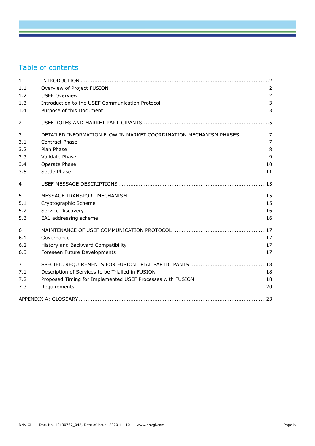# Table of contents

| $\mathbf{1}$ |                                                                     |                |
|--------------|---------------------------------------------------------------------|----------------|
| 1.1          | Overview of Project FUSION                                          | 2              |
| 1.2          | <b>USEF Overview</b>                                                | $\overline{2}$ |
| 1.3          | Introduction to the USEF Communication Protocol                     | 3              |
| 1.4          | Purpose of this Document                                            | 3              |
| 2            |                                                                     |                |
| 3            | DETAILED INFORMATION FLOW IN MARKET COORDINATION MECHANISM PHASES 7 |                |
| 3.1          | <b>Contract Phase</b>                                               | $\overline{7}$ |
| 3.2          | Plan Phase                                                          | 8              |
| 3.3          | <b>Validate Phase</b>                                               | $\mathsf{q}$   |
| 3.4          | Operate Phase                                                       | 10             |
| 3.5          | Settle Phase                                                        | 11             |
| 4            |                                                                     |                |
| 5            |                                                                     |                |
| 5.1          | Cryptographic Scheme                                                | 15             |
| 5.2          | Service Discovery                                                   | 16             |
| 5.3          | EA1 addressing scheme                                               | 16             |
| 6            |                                                                     |                |
| 6.1          | Governance                                                          | 17             |
| 6.2          | History and Backward Compatibility                                  | 17             |
| 6.3          | Foreseen Future Developments                                        | 17             |
| 7            |                                                                     |                |
| 7.1          | Description of Services to be Trialled in FUSION                    | 18             |
| 7.2          | Proposed Timing for Implemented USEF Processes with FUSION          | 18             |
| 7.3          | Requirements                                                        | 20             |
|              |                                                                     | .23            |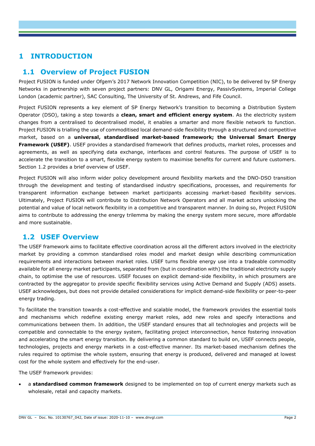# **1 INTRODUCTION**

### **1.1 Overview of Project FUSION**

Project FUSION is funded under Ofgem's 2017 Network Innovation Competition (NIC), to be delivered by SP Energy Networks in partnership with seven project partners: DNV GL, Origami Energy, PassivSystems, Imperial College London (academic partner), SAC Consulting, The University of St. Andrews, and Fife Council.

Project FUSION represents a key element of SP Energy Network's transition to becoming a Distribution System Operator (DSO), taking a step towards a **clean, smart and efficient energy system**. As the electricity system changes from a centralised to decentralised model, it enables a smarter and more flexible network to function. Project FUSION is trialling the use of commoditised local demand-side flexibility through a structured and competitive market, based on a **universal, standardised market-based framework; the Universal Smart Energy Framework (USEF)**. USEF provides a standardised framework that defines products, market roles, processes and agreements, as well as specifying data exchange, interfaces and control features. The purpose of USEF is to accelerate the transition to a smart, flexible energy system to maximise benefits for current and future customers. Section [1.2](#page-4-0) provides a brief overview of USEF.

Project FUSION will also inform wider policy development around flexibility markets and the DNO-DSO transition through the development and testing of standardised industry specifications, processes, and requirements for transparent information exchange between market participants accessing market-based flexibility services. Ultimately, Project FUSION will contribute to Distribution Network Operators and all market actors unlocking the potential and value of local network flexibility in a competitive and transparent manner. In doing so, Project FUSION aims to contribute to addressing the energy trilemma by making the energy system more secure, more affordable and more sustainable.

#### <span id="page-4-0"></span>**1.2 USEF Overview**

The USEF framework aims to facilitate effective coordination across all the different actors involved in the electricity market by providing a common standardised roles model and market design while describing communication requirements and interactions between market roles. USEF turns flexible energy use into a tradeable commodity available for all energy market participants, separated from (but in coordination with) the traditional electricity supply chain, to optimise the use of resources. USEF focuses on explicit demand-side flexibility, in which prosumers are contracted by the aggregator to provide specific flexibility services using Active Demand and Supply (ADS) assets. USEF acknowledges, but does not provide detailed considerations for implicit demand-side flexibility or peer-to-peer energy trading.

To facilitate the transition towards a cost-effective and scalable model, the framework provides the essential tools and mechanisms which redefine existing energy market roles, add new roles and specify interactions and communications between them. In addition, the USEF standard ensures that all technologies and projects will be compatible and connectable to the energy system, facilitating project interconnection, hence fostering innovation and accelerating the smart energy transition. By delivering a common standard to build on, USEF connects people, technologies, projects and energy markets in a cost-effective manner. Its market-based mechanism defines the rules required to optimise the whole system, ensuring that energy is produced, delivered and managed at lowest cost for the whole system and effectively for the end-user.

The USEF framework provides:

• a **standardised common framework** designed to be implemented on top of current energy markets such as wholesale, retail and capacity markets.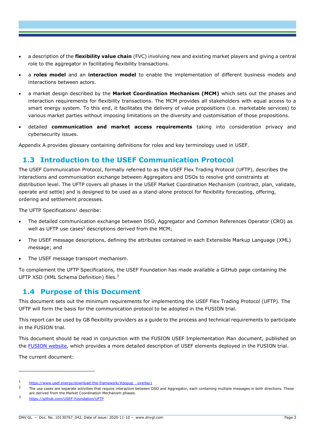- a description of the **flexibility value chain** (FVC) involving new and existing market players and giving a central role to the aggregator in facilitating flexibility transactions.
- a **roles model** and an **interaction model** to enable the implementation of different business models and interactions between actors.
- a market design described by the **Market Coordination Mechanism (MCM)** which sets out the phases and interaction requirements for flexibility transactions. The MCM provides all stakeholders with equal access to a smart energy system. To this end, it facilitates the delivery of value propositions (i.e. marketable services) to various market parties without imposing limitations on the diversity and customisation of those propositions.
- detailed **communication and market access requirements** taking into consideration privacy and cybersecurity issues.

Appendix A provides glossary containing definitions for roles and key terminology used in USEF.

### **1.3 Introduction to the USEF Communication Protocol**

The USEF Communication Protocol, formally referred to as the USEF Flex Trading Protocol (UFTP), describes the interactions and communication exchange between Aggregators and DSOs to resolve grid constraints at distribution level. The UFTP covers all phases in the USEF Market Coordination Mechanism (contract, plan, validate, operate and settle) and is designed to be used as a stand-alone protocol for flexibility forecasting, offering, ordering and settlement processes.

The UFTP Specifications<sup>1</sup> describe:

- The detailed communication exchange between DSO, Aggregator and Common References Operator (CRO) as well as UFTP use cases<sup>2</sup> descriptions derived from the MCM;
- The USEF message descriptions, defining the attributes contained in each Extensible Markup Language (XML) message; and
- The USEF message transport mechanism.

To complement the UFTP Specifications, the USEF Foundation has made available a GitHub page containing the UFTP XSD (XML Schema Definition) files.<sup>3</sup>

#### **1.4 Purpose of this Document**

This document sets out the minimum requirements for implementing the USEF Flex Trading Protocol (UFTP). The UFTP will form the basis for the communication protocol to be adopted in the FUSION trial.

This report can be used by GB flexibility providers as a guide to the process and technical requirements to participate in the FUSION trial.

This document should be read in conjunction with the FUSION USEF Implementation Plan document, published on the [FUSION website,](https://www.spenergynetworks.co.uk/pages/fusion.aspx) which provides a more detailed description of USEF elements deployed in the FUSION trial.

The current document:

<sup>1</sup> https://www.usef.energy/download-the-framework/#popup\_overlay1

 $\overline{2}$ The use cases are separate activities that require interaction between DSO and Aggregator, each containing multiple messages in both directions. These are derived from the Market Coordination Mechanism phases.

<sup>3</sup> <https://github.com/USEF-Foundation/UFTP>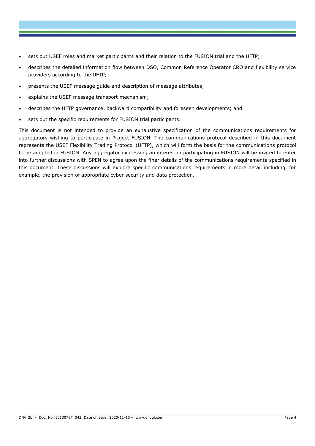- sets out USEF roles and market participants and their relation to the FUSION trial and the UFTP;
- describes the detailed information flow between DSO, Common Reference Operator CRO and flexibility service providers according to the UFTP;
- presents the USEF message guide and description of message attributes;
- explains the USEF message transport mechanism;
- describes the UFTP governance, backward compatibility and foreseen developments; and
- sets out the specific requirements for FUSION trial participants.

This document is not intended to provide an exhaustive specification of the communications requirements for aggregators wishing to participate in Project FUSION. The communications protocol described in this document represents the USEF Flexibility Trading Protocol (UFTP), which will form the basis for the communications protocol to be adopted in FUSION. Any aggregator expressing an interest in participating in FUSION will be invited to enter into further discussions with SPEN to agree upon the finer details of the communications requirements specified in this document. These discussions will explore specific communications requirements in more detail including, for example, the provision of appropriate cyber security and data protection.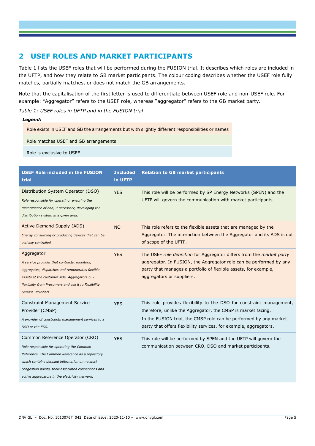### **2 USEF ROLES AND MARKET PARTICIPANTS**

[Table 1](#page-7-0) lists the USEF roles that will be performed during the FUSION trial. It describes which roles are included in the UFTP, and how they relate to GB market participants. The colour coding describes whether the USEF role fully matches, partially matches, or does not match the GB arrangements.

Note that the capitalisation of the first letter is used to differentiate between USEF role and non-USEF role. For example: "Aggregator" refers to the USEF role, whereas "aggregator" refers to the GB market party.

<span id="page-7-0"></span>*Table 1: USEF roles in UFTP and in the FUSION trial* 

#### *Legend:*

Role exists in USEF and GB the arrangements but with slightly different responsibilities or names

Role matches USEF and GB arrangements

Role is exclusive to USEF

| <b>USEF Role included in the FUSION</b><br>trial                                                                                                                                                                                                                                           | <b>Included</b><br>in UFTP | <b>Relation to GB market participants</b>                                                                                                                                                                                                                                      |
|--------------------------------------------------------------------------------------------------------------------------------------------------------------------------------------------------------------------------------------------------------------------------------------------|----------------------------|--------------------------------------------------------------------------------------------------------------------------------------------------------------------------------------------------------------------------------------------------------------------------------|
| Distribution System Operator (DSO)<br>Role responsible for operating, ensuring the<br>maintenance of and, if necessary, developing the<br>distribution system in a given area.                                                                                                             | <b>YES</b>                 | This role will be performed by SP Energy Networks (SPEN) and the<br>UFTP will govern the communication with market participants.                                                                                                                                               |
| <b>Active Demand Supply (ADS)</b><br>Energy consuming or producing devices that can be<br>actively controlled.                                                                                                                                                                             | <b>NO</b>                  | This role refers to the flexible assets that are managed by the<br>Aggregator. The interaction between the Aggregator and its ADS is out<br>of scope of the UFTP.                                                                                                              |
| Aggregator<br>A service provider that contracts, monitors,<br>aggregates, dispatches and remunerates flexible<br>assets at the customer side. Aggregators buy<br>flexibility from Prosumers and sell it to Flexibility<br>Service Providers.                                               | <b>YES</b>                 | The USEF role definition for Aggregator differs from the market party<br>aggregator. In FUSION, the Aggregator role can be performed by any<br>party that manages a portfolio of flexible assets, for example,<br>aggregators or suppliers.                                    |
| <b>Constraint Management Service</b><br>Provider (CMSP)<br>A provider of constraints management services to a<br>DSO or the ESO.                                                                                                                                                           | <b>YES</b>                 | This role provides flexibility to the DSO for constraint management,<br>therefore, unlike the Aggregator, the CMSP is market facing.<br>In the FUSION trial, the CMSP role can be performed by any market<br>party that offers flexibility services, for example, aggregators. |
| Common Reference Operator (CRO)<br>Role responsible for operating the Common<br>Reference. The Common Reference as a repository<br>which contains detailed information on network<br>congestion points, their associated connections and<br>active aggregators in the electricity network. | <b>YES</b>                 | This role will be performed by SPEN and the UFTP will govern the<br>communication between CRO, DSO and market participants.                                                                                                                                                    |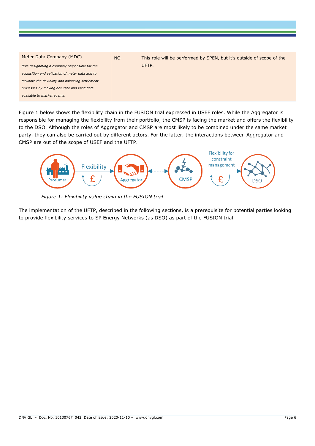| Meter Data Company (MDC)<br>Role designating a company responsible for the<br>acquisition and validation of meter data and to<br>facilitate the flexibility and balancing settlement<br>processes by making accurate and valid data | <b>NO</b> | This role will be performed by SPEN, but it's outside of scope of the<br>UFTP. |
|-------------------------------------------------------------------------------------------------------------------------------------------------------------------------------------------------------------------------------------|-----------|--------------------------------------------------------------------------------|
| available to market agents.                                                                                                                                                                                                         |           |                                                                                |

[Figure 1](#page-8-0) below shows the flexibility chain in the FUSION trial expressed in USEF roles. While the Aggregator is responsible for managing the flexibility from their portfolio, the CMSP is facing the market and offers the flexibility to the DSO. Although the roles of Aggregator and CMSP are most likely to be combined under the same market party, they can also be carried out by different actors. For the latter, the interactions between Aggregator and CMSP are out of the scope of USEF and the UFTP.



*Figure 1: Flexibility value chain in the FUSION trial*

<span id="page-8-0"></span>The implementation of the UFTP, described in the following sections, is a prerequisite for potential parties looking to provide flexibility services to SP Energy Networks (as DSO) as part of the FUSION trial.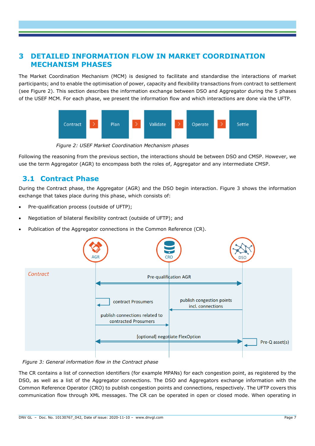### **3 DETAILED INFORMATION FLOW IN MARKET COORDINATION MECHANISM PHASES**

The Market Coordination Mechanism (MCM) is designed to facilitate and standardise the interactions of market participants; and to enable the optimisation of power, capacity and flexibility transactions from contract to settlement (see [Figure 2\)](#page-9-0). This section describes the information exchange between DSO and Aggregator during the 5 phases of the USEF MCM. For each phase, we present the information flow and which interactions are done via the UFTP.



*Figure 2: USEF Market Coordination Mechanism phases*

<span id="page-9-0"></span>Following the reasoning from the previous section, the interactions should be between DSO and CMSP. However, we use the term Aggregator (AGR) to encompass both the roles of, Aggregator and any intermediate CMSP.

# **3.1 Contract Phase**

During the Contract phase, the Aggregator (AGR) and the DSO begin interaction. [Figure 3](#page-9-1) shows the information exchange that takes place during this phase, which consists of:

- Pre-qualification process (outside of UFTP);
- Negotiation of bilateral flexibility contract (outside of UFTP); and
- Publication of the Aggregator connections in the Common Reference (CR).



<span id="page-9-1"></span>*Figure 3: General information flow in the Contract phase*

The CR contains a list of connection identifiers (for example MPANs) for each congestion point, as registered by the DSO, as well as a list of the Aggregator connections. The DSO and Aggregators exchange information with the Common Reference Operator (CRO) to publish congestion points and connections, respectively. The UFTP covers this communication flow through XML messages. The CR can be operated in open or closed mode. When operating in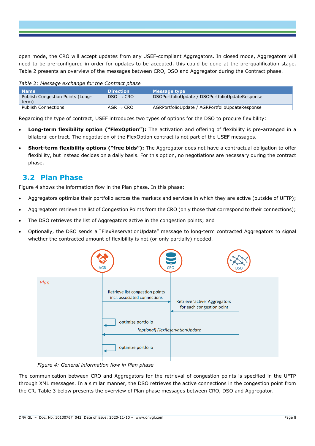open mode, the CRO will accept updates from any USEF-compliant Aggregators. In closed mode, Aggregators will need to be pre-configured in order for updates to be accepted, this could be done at the pre-qualification stage. [Table 2](#page-10-0) presents an overview of the messages between CRO, DSO and Aggregator during the Contract phase.

<span id="page-10-0"></span>

| Table 2: Message exchange for the Contract phase |                       |                                                 |  |  |
|--------------------------------------------------|-----------------------|-------------------------------------------------|--|--|
| <b>Name</b>                                      | <b>Direction</b>      | <b>Message type</b>                             |  |  |
| Publish Congestion Points (Long-<br>term)        | $DSO \rightarrow CRO$ | DSOPortfolioUpdate / DSOPortfolioUpdateResponse |  |  |
| <b>Publish Connections</b>                       | $AGR \rightarrow CRO$ | AGRPortfolioUpdate / AGRPortfolioUpdateResponse |  |  |

Regarding the type of contract, USEF introduces two types of options for the DSO to procure flexibility:

- **Long-term flexibility option ("FlexOption"):** The activation and offering of flexibility is pre-arranged in a bilateral contract. The negotiation of the FlexOption contract is not part of the USEF messages.
- **Short-term flexibility options ("free bids"):** The Aggregator does not have a contractual obligation to offer flexibility, but instead decides on a daily basis. For this option, no negotiations are necessary during the contract phase.

#### **3.2 Plan Phase**

[Figure 4](#page-10-1) shows the information flow in the Plan phase. In this phase:

- Aggregators optimize their portfolio across the markets and services in which they are active (outside of UFTP);
- Aggregators retrieve the list of Congestion Points from the CRO (only those that correspond to their connections);
- The DSO retrieves the list of Aggregators active in the congestion points; and
- Optionally, the DSO sends a "FlexReservationUpdate" message to long-term contracted Aggregators to signal whether the contracted amount of flexibility is not (or only partially) needed.



*Figure 4: General information flow in Plan phase*

<span id="page-10-1"></span>The communication between CRO and Aggregators for the retrieval of congestion points is specified in the UFTP through XML messages. In a similar manner, the DSO retrieves the active connections in the congestion point from the CR. [Table 3](#page-11-0) below presents the overview of Plan phase messages between CRO, DSO and Aggregator.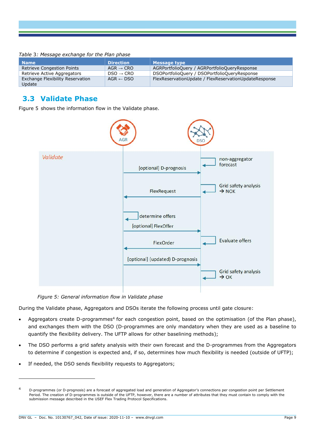<span id="page-11-0"></span>

| Table 3: Message exchange for the Plan phase |
|----------------------------------------------|
|----------------------------------------------|

| <b>Name</b>                                | <b>Direction</b>      | <b>Message type</b>                                   |
|--------------------------------------------|-----------------------|-------------------------------------------------------|
| <b>Retrieve Congestion Points</b>          | $AGR \rightarrow CRO$ | AGRPortfolioQuery / AGRPortfolioQueryResponse         |
| Retrieve Active Aggregators                | $DSO \rightarrow CRO$ | DSOPortfolioQuery / DSOPortfolioQueryResponse         |
| Exchange Flexibility Reservation<br>Update | $AGR \leftarrow DSO$  | FlexReservationUpdate / FlexReservationUpdateResponse |

#### **3.3 Validate Phase**

[Figure 5](#page-11-1) shows the information flow in the Validate phase.



*Figure 5: General information flow in Validate phase*

<span id="page-11-1"></span>During the Validate phase, Aggregators and DSOs iterate the following process until gate closure:

- Aggregators create D-programmes<sup>4</sup> for each congestion point, based on the optimisation (of the Plan phase), and exchanges them with the DSO (D-programmes are only mandatory when they are used as a baseline to quantify the flexibility delivery. The UFTP allows for other baselining methods);
- The DSO performs a grid safety analysis with their own forecast and the D-programmes from the Aggregators to determine if congestion is expected and, if so, determines how much flexibility is needed (outside of UFTP);
- If needed, the DSO sends flexibility requests to Aggregators;

<sup>4</sup> D-programmes (or D-prognosis) are a forecast of aggregated load and generation of Aggregator's connections per congestion point per Settlement Period. The creation of D-programmes is outside of the UFTP, however, there are a number of attributes that they must contain to comply with the submission message described in the USEF Flex Trading Protocol Specifications.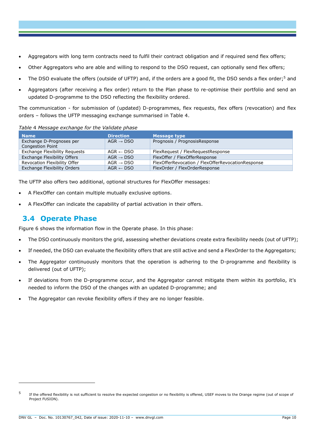- Aggregators with long term contracts need to fulfil their contract obligation and if required send flex offers;
- Other Aggregators who are able and willing to respond to the DSO request, can optionally send flex offers;
- The DSO evaluate the offers (outside of UFTP) and, if the orders are a good fit, the DSO sends a flex order;<sup>5</sup> and
- Aggregators (after receiving a flex order) return to the Plan phase to re-optimise their portfolio and send an updated D-programme to the DSO reflecting the flexibility ordered.

The communication - for submission of (updated) D-programmes, flex requests, flex offers (revocation) and flex orders – follows the UFTP messaging exchange summarised in [Table 4.](#page-12-0)

<span id="page-12-0"></span>

|  | Table 4 Message exchange for the Validate phase |  |  |
|--|-------------------------------------------------|--|--|
|  |                                                 |  |  |

| <b>Name</b>                                         | <b>Direction</b>      | Message type                                      |
|-----------------------------------------------------|-----------------------|---------------------------------------------------|
| Exchange D-Prognoses per<br><b>Congestion Point</b> | $AGR \rightarrow DSO$ | Prognosis / PrognosisResponse                     |
| <b>Exchange Flexibility Requests</b>                | $AGR \leftarrow DSO$  | FlexRequest / FlexRequestResponse                 |
| <b>Exchange Flexibility Offers</b>                  | $AGR \rightarrow DSO$ | FlexOffer / FlexOfferResponse                     |
| Revocation Flexibility Offer                        | $AGR \rightarrow DSO$ | FlexOfferRevocation / FlexOfferRevocationResponse |
| Exchange Flexibility Orders                         | $AGR \leftarrow DSO$  | FlexOrder / FlexOrderResponse                     |

The UFTP also offers two additional, optional structures for FlexOffer messages:

- A FlexOffer can contain multiple mutually exclusive options.
- A FlexOffer can indicate the capability of partial activation in their offers.

#### **3.4 Operate Phase**

[Figure 6](#page-13-0) shows the information flow in the Operate phase. In this phase:

- The DSO continuously monitors the grid, assessing whether deviations create extra flexibility needs (out of UFTP);
- If needed, the DSO can evaluate the flexibility offers that are still active and send a FlexOrder to the Aggregators;
- The Aggregator continuously monitors that the operation is adhering to the D-programme and flexibility is delivered (out of UFTP);
- If deviations from the D-programme occur, and the Aggregator cannot mitigate them within its portfolio, it's needed to inform the DSO of the changes with an updated D-programme; and
- The Aggregator can revoke flexibility offers if they are no longer feasible.

<sup>5</sup> If the offered flexibility is not sufficient to resolve the expected congestion or no flexibility is offered, USEF moves to the Orange regime (out of scope of Project FUSION).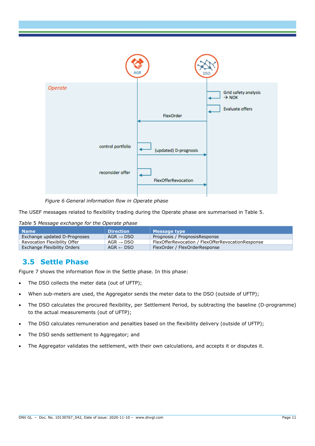

*Figure 6 General information flow in Operate phase*

<span id="page-13-0"></span>The USEF messages related to flexibility trading during the Operate phase are summarised in [Table 5.](#page-13-1)

<span id="page-13-1"></span>

| Table 5 Message exchange for the Operate phase |  |
|------------------------------------------------|--|
|------------------------------------------------|--|

| <b>Name</b>                  | <b>Direction</b>      | <b>Message type</b>                               |
|------------------------------|-----------------------|---------------------------------------------------|
| Exchange updated D-Prognoses | $AGR \rightarrow DSO$ | Prognosis / PrognosisResponse                     |
| Revocation Flexibility Offer | AGR $\rightarrow$ DSO | FlexOfferRevocation / FlexOfferRevocationResponse |
| Exchange Flexibility Orders  | $AGR \leftarrow DSO$  | FlexOrder / FlexOrderResponse                     |

#### **3.5 Settle Phase**

[Figure 7](#page-14-0) shows the information flow in the Settle phase. In this phase:

- The DSO collects the meter data (out of UFTP);
- When sub-meters are used, the Aggregator sends the meter data to the DSO (outside of UFTP);
- The DSO calculates the procured flexibility, per Settlement Period, by subtracting the baseline (D-programme) to the actual measurements (out of UFTP);
- The DSO calculates remuneration and penalties based on the flexibility delivery (outside of UFTP);
- The DSO sends settlement to Aggregator; and
- The Aggregator validates the settlement, with their own calculations, and accepts it or disputes it.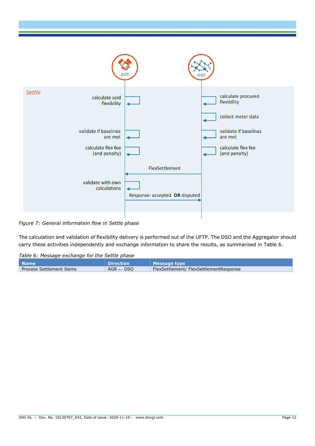

<span id="page-14-0"></span>*Figure 7: General information flow in Settle phase*

The calculation and validation of flexibility delivery is performed out of the UFTP. The DSO and the Aggregator should carry these activities independently and exchange information to share the results, as summarised in [Table 6.](#page-14-1)

<span id="page-14-1"></span>*Table* 6*: Message exchange for the Settle phase*

| l Name                   | <b>Direction</b>     | <b>Message type</b>                   |
|--------------------------|----------------------|---------------------------------------|
| Process Settlement Items | $AGR \leftarrow DSO$ | FlexSettlement/FlexSettlementResponse |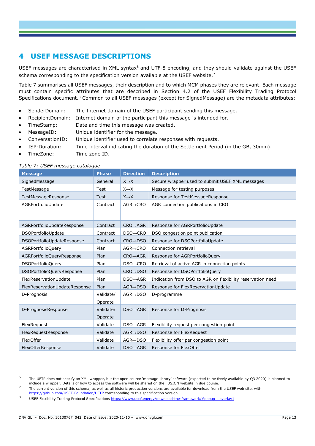# **4 USEF MESSAGE DESCRIPTIONS**

USEF messages are characterised in XML syntax<sup>6</sup> and UTF-8 encoding, and they should validate against the USEF schema corresponding to the specification version available at the USEF website.<sup>7</sup>

[Table 7](#page-15-0) summarises all USEF messages, their description and to which MCM phases they are relevant. Each message must contain specific attributes that are described in Section 4.2 of the USEF Flexibility Trading Protocol Specifications document.<sup>8</sup> Common to all USEF messages (except for SignedMessage) are the metadata attributes:

- SenderDomain: The Internet domain of the USEF participant sending this message.
- RecipientDomain: Internet domain of the participant this message is intended for.
- TimeStamp: Date and time this message was created.
- MessageID: Unique identifier for the message.
- ConversationID: Unique identifier used to correlate responses with requests.
- ISP-Duration: Time interval indicating the duration of the Settlement Period (in the GB, 30min).
- TimeZone: Time zone ID.

| <b>Message</b>                | <b>Phase</b> | <b>Direction</b>      | <b>Description</b>                                         |
|-------------------------------|--------------|-----------------------|------------------------------------------------------------|
| SignedMessage                 | General      | $X \rightarrow X$     | Secure wrapper used to submit USEF XML messages            |
| TestMessage                   | Test         | $X \rightarrow X$     | Message for testing purposes                               |
| TestMessageResponse           | <b>Test</b>  | $X \rightarrow X$     | Response for TestMessageResponse                           |
| AGRPortfolioUpdate            | Contract     | $AGR \rightarrow CRO$ | AGR connection publications in CRO                         |
|                               |              |                       |                                                            |
| AGRPortfolioUpdateResponse    | Contract     | $CRO \rightarrow AGR$ | Response for AGRPortfolioUpdate                            |
| DSOPortfolioUpdate            | Contract     | $DSO \rightarrow CRO$ | DSO congestion point publication                           |
| DSOPortfolioUpdateResponse    | Contract     | $CRO \rightarrow DSO$ | Response for DSOPortfolioUpdate                            |
| AGRPortfolioQuery             | Plan         | $AGR \rightarrow CRO$ | Connection retrieval                                       |
| AGRPortfolioQueryResponse     | Plan         | $CRO \rightarrow AGR$ | Response for AGRPortfolioQuery                             |
| <b>DSOPortfolioQuery</b>      | Plan         | $DSO \rightarrow CRO$ | Retrieval of active AGR in connection points               |
| DSOPortfolioQueryResponse     | Plan         | $CRO \rightarrow DSO$ | Response for DSOPortfolioQuery                             |
| FlexReservationUpdate         | Plan         | $DSO \rightarrow AGR$ | Indication from DSO to AGR on flexibility reservation need |
| FlexReservationUpdateResponse | Plan         | $AGR \rightarrow DSO$ | Response for FlexReservationUpdate                         |
| D-Prognosis                   | Validate/    | $AGR \rightarrow DSO$ | D-programme                                                |
|                               | Operate      |                       |                                                            |
| D-PrognosisResponse           | Validate/    | $DSO \rightarrow AGR$ | Response for D-Prognosis                                   |
|                               | Operate      |                       |                                                            |
| FlexRequest                   | Validate     | $DSO \rightarrow AGR$ | Flexibility request per congestion point                   |
| FlexRequestResponse           | Validate     | $AGR \rightarrow DSO$ | Response for FlexRequest                                   |
| FlexOffer                     | Validate     | $AGR \rightarrow DSO$ | Flexibility offer per congestion point                     |
| FlexOfferResponse             | Validate     | $DSO \rightarrow AGR$ | Response for FlexOffer                                     |

#### <span id="page-15-0"></span>*Table* 7*: USEF message catalogue*

<sup>6</sup> The UFTP does not specify an XML wrapper, but the open source 'message library' software (expected to be freely available by Q3 2020) is planned to include a wrapper. Details of how to access the software will be shared on the FUSION website in due course.

<sup>7</sup> The current version of this schema, as well as all historic production versions are available for download from the USEF web site, with <https://github.com/USEF-Foundation/UFTP> corresponding to this specification version.

<sup>8</sup> USEF Flexibility Trading Protocol Specifications [https://www.usef.energy/download-the-framework/#popup\\_\\_overlay1](https://www.usef.energy/download-the-framework/#popup__overlay1)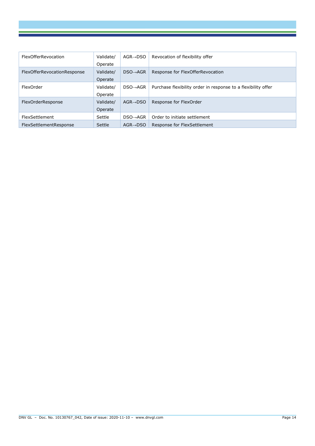| <b>FlexOfferRevocation</b>  | Validate/<br>Operate | $AGR \rightarrow DSO$ | Revocation of flexibility offer                               |
|-----------------------------|----------------------|-----------------------|---------------------------------------------------------------|
| FlexOfferRevocationResponse | Validate/<br>Operate | $DSO \rightarrow AGR$ | Response for FlexOfferRevocation                              |
| FlexOrder                   | Validate/<br>Operate | $DSO \rightarrow AGR$ | Purchase flexibility order in response to a flexibility offer |
| FlexOrderResponse           | Validate/<br>Operate | $AGR \rightarrow DSO$ | Response for FlexOrder                                        |
| FlexSettlement              | Settle               | $DSO \rightarrow AGR$ | Order to initiate settlement                                  |
| FlexSettlementResponse      | Settle               | $AGR \rightarrow DSO$ | Response for FlexSettlement                                   |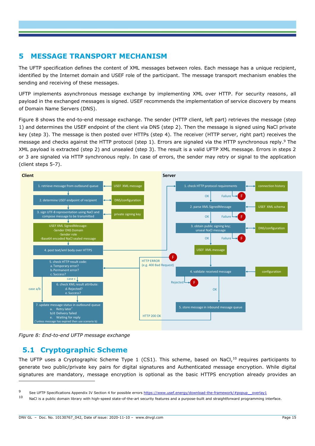### **5 MESSAGE TRANSPORT MECHANISM**

The UFTP specification defines the content of XML messages between roles. Each message has a unique recipient, identified by the Internet domain and USEF role of the participant. The message transport mechanism enables the sending and receiving of these messages.

UFTP implements asynchronous message exchange by implementing XML over HTTP. For security reasons, all payload in the exchanged messages is signed. USEF recommends the implementation of service discovery by means of Domain Name Servers (DNS).

[Figure 8](#page-17-0) shows the end-to-end message exchange. The sender (HTTP client, left part) retrieves the message (step 1) and determines the USEF endpoint of the client via DNS (step 2). Then the message is signed using NaCl private key (step 3). The message is then posted over HTTPs (step 4). The receiver (HTTP server, right part) receives the message and checks against the HTTP protocol (step 1). Errors are signaled via the HTTP synchronous reply. <sup>9</sup> The XML payload is extracted (step 2) and unsealed (step 3). The result is a valid UFTP XML message. Errors in steps 2 or 3 are signaled via HTTP synchronous reply. In case of errors, the sender may retry or signal to the application (client steps 5-7).



<span id="page-17-0"></span>*Figure 8: End-to-end UFTP message exchange*

### **5.1 Cryptographic Scheme**

The UFTP uses a Cryptographic Scheme Type  $1$  (CS1). This scheme, based on NaCl,<sup>10</sup> requires participants to generate two public/private key pairs for digital signatures and Authenticated message encryption. While digital signatures are mandatory, message encryption is optional as the basic HTTPS encryption already provides an

<sup>9</sup> See UFTP Specifications Appendix IV Section 4 for possible errors https://www.usef.energy/download-the-framework/#popup\_overlay1<br>10 NaCl is a public domain library with bigh crood state of the art courity foatures and a

NaCl is a public domain library with high-speed state-of-the-art security features and a purpose-built and straightforward programming interface.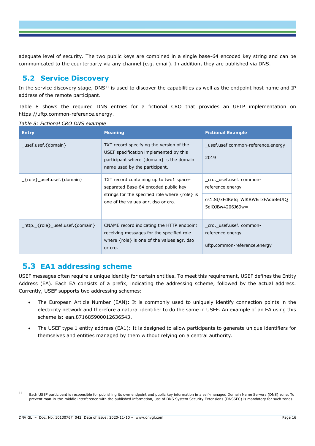adequate level of security. The two public keys are combined in a single base-64 encoded key string and can be communicated to the counterparty via any channel (e.g. email). In addition, they are published via DNS.

### **5.2 Service Discovery**

In the service discovery stage, DNS<sup>11</sup> is used to discover the capabilities as well as the endpoint host name and IP address of the remote participant.

[Table 8](#page-18-0) shows the required DNS entries for a fictional CRO that provides an UFTP implementation on [https://uftp.common-reference.energy.](https://uftp.common-reference.energy/)

<span id="page-18-0"></span>

|  |  | Table 8: Fictional CRO DNS example |
|--|--|------------------------------------|

| <b>Entry</b>                                                                             | <b>Meaning</b>                                                                         | <b>Fictional Example</b>                             |
|------------------------------------------------------------------------------------------|----------------------------------------------------------------------------------------|------------------------------------------------------|
| TXT record specifying the version of the<br>usef.usef.{domain}                           |                                                                                        | usef.usef.common-reference.energy                    |
| USEF specification implemented by this                                                   | participant where $\{domain\}$ is the domain<br>name used by the participant.          | 2019                                                 |
| $_{\text{-}}$ {role}_usef.usef.{domain}                                                  | TXT record containing up to two1 space-<br>separated Base-64 encoded public key        | cro. usef.usef.common-<br>reference.energy           |
| strings for the specified role where $\{role\}$ is<br>one of the values agr, dso or cro. |                                                                                        | cs1.St/xFdKeIqTWlKRWBTxFAdaBeUIQ<br>5dlOJBw4206J69w= |
| http. {role} usef.usef.{domain}                                                          | CNAME record indicating the HTTP endpoint<br>receiving messages for the specified role | cro. usef.usef.common-<br>reference.energy           |
|                                                                                          | where $\{role\}$ is one of the values agr, dso<br>or cro.                              | uftp.common-reference.energy                         |

# **5.3 EA1 addressing scheme**

USEF messages often require a unique identity for certain entities. To meet this requirement, USEF defines the Entity Address (EA). Each EA consists of a prefix, indicating the addressing scheme, followed by the actual address. Currently, USEF supports two addressing schemes:

- The European Article Number (EAN): It is commonly used to uniquely identify connection points in the electricity network and therefore a natural identifier to do the same in USEF. An example of an EA using this scheme is: ean.871685900012636543.
- The USEF type 1 entity address (EA1): It is designed to allow participants to generate unique identifiers for themselves and entities managed by them without relying on a central authority.

<sup>&</sup>lt;sup>11</sup> Each USEF participant is responsible for publishing its own endpoint and public key information in a self-managed Domain Name Servers (DNS) zone. To prevent man-in-the-middle interference with the published information, use of DNS System Security Extensions (DNSSEC) is mandatory for such zones.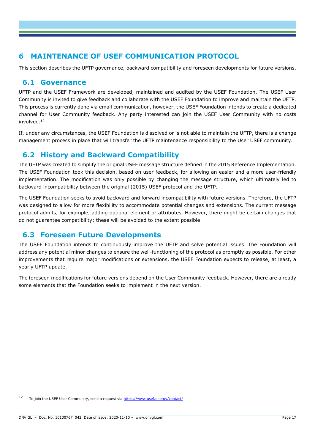### **6 MAINTENANCE OF USEF COMMUNICATION PROTOCOL**

This section describes the UFTP governance, backward compatibility and foreseen developments for future versions.

#### **6.1 Governance**

UFTP and the USEF Framework are developed, maintained and audited by the USEF Foundation. The USEF User Community is invited to give feedback and collaborate with the USEF Foundation to improve and maintain the UFTP. This process is currently done via email communication, however, the USEF Foundation intends to create a dedicated channel for User Community feedback. Any party interested can join the USEF User Community with no costs involved. 12

If, under any circumstances, the USEF Foundation is dissolved or is not able to maintain the UFTP, there is a change management process in place that will transfer the UFTP maintenance responsibility to the User USEF community.

# **6.2 History and Backward Compatibility**

The UFTP was created to simplify the original USEF message structure defined in the 2015 Reference Implementation. The USEF Foundation took this decision, based on user feedback, for allowing an easier and a more user-friendly implementation. The modification was only possible by changing the message structure, which ultimately led to backward incompatibility between the original (2015) USEF protocol and the UFTP.

The USEF Foundation seeks to avoid backward and forward incompatibility with future versions. Therefore, the UFTP was designed to allow for more flexibility to accommodate potential changes and extensions. The current message protocol admits, for example, adding optional element or attributes. However, there might be certain changes that do not guarantee compatibility; these will be avoided to the extent possible.

### **6.3 Foreseen Future Developments**

The USEF Foundation intends to continuously improve the UFTP and solve potential issues. The Foundation will address any potential minor changes to ensure the well-functioning of the protocol as promptly as possible. For other improvements that require major modifications or extensions, the USEF Foundation expects to release, at least, a yearly UFTP update.

The foreseen modifications for future versions depend on the User Community feedback. However, there are already some elements that the Foundation seeks to implement in the next version.

<sup>12</sup> To join the USEF User Community, send a request via<https://www.usef.energy/contact/>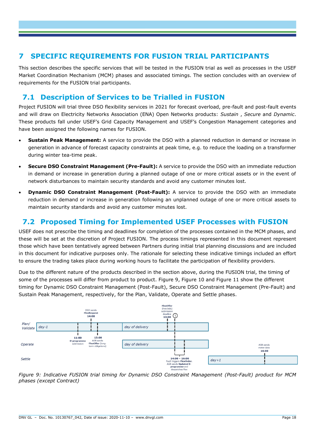#### **7 SPECIFIC REQUIREMENTS FOR FUSION TRIAL PARTICIPANTS**

This section describes the specific services that will be tested in the FUSION trial as well as processes in the USEF Market Coordination Mechanism (MCM) phases and associated timings. The section concludes with an overview of requirements for the FUSION trial participants.

# **7.1 Description of Services to be Trialled in FUSION**

Project FUSION will trial three DSO flexibility services in 2021 for forecast overload, pre-fault and post-fault events and will draw on Electricity Networks Association (ENA) Open Networks products: *Sustain* , *Secure* and *Dynamic*. These products fall under USEF's Grid Capacity Management and USEF's Congestion Management categories and have been assigned the following names for FUSION.

- **Sustain Peak Management:** A service to provide the DSO with a planned reduction in demand or increase in generation in advance of forecast capacity constraints at peak time, e.g. to reduce the loading on a transformer during winter tea-time peak.
- **Secure DSO Constraint Management (Pre-Fault):** A service to provide the DSO with an immediate reduction in demand or increase in generation during a planned outage of one or more critical assets or in the event of network disturbances to maintain security standards and avoid any customer minutes lost.
- **Dynamic DSO Constraint Management (Post-Fault):** A service to provide the DSO with an immediate reduction in demand or increase in generation following an unplanned outage of one or more critical assets to maintain security standards and avoid any customer minutes lost.

#### **7.2 Proposed Timing for Implemented USEF Processes with FUSION**

USEF does not prescribe the timing and deadlines for completion of the processes contained in the MCM phases, and these will be set at the discretion of Project FUSION. The process timings represented in this document represent those which have been tentatively agreed between Partners during initial trial planning discussions and are included in this document for indicative purposes only. The rationale for selecting these indicative timings included an effort to ensure the trading takes place during working hours to facilitate the participation of flexibility providers.

Due to the different nature of the products described in the section above, during the FUSION trial, the timing of some of the processes will differ from product to product. [Figure 9,](#page-20-0) [Figure 10](#page-21-0) and [Figure 11](#page-21-1) show the different timing for Dynamic DSO Constraint Management (Post-Fault), Secure DSO Constraint Management (Pre-Fault) and Sustain Peak Management, respectively, for the Plan, Validate, Operate and Settle phases.



<span id="page-20-0"></span>*Figure 9: Indicative FUSION trial timing for Dynamic DSO Constraint Management (Post-Fault) product for MCM phases (except Contract)*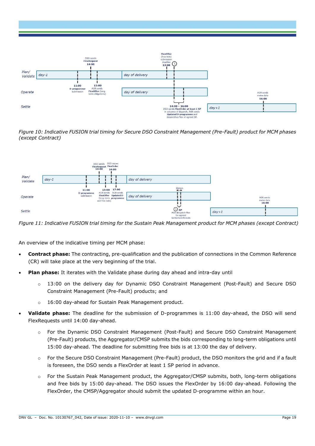

<span id="page-21-0"></span>*Figure 10: Indicative FUSION trial timing for Secure DSO Constraint Management (Pre-Fault) product for MCM phases (except Contract)*



<span id="page-21-1"></span>*Figure 11: Indicative FUSION trial timing for the Sustain Peak Management product for MCM phases (except Contract)*

An overview of the indicative timing per MCM phase:

- **Contract phase:** The contracting, pre-qualification and the publication of connections in the Common Reference (CR) will take place at the very beginning of the trial.
- **Plan phase:** It iterates with the Validate phase during day ahead and intra-day until
	- o 13:00 on the delivery day for Dynamic DSO Constraint Management (Post-Fault) and Secure DSO Constraint Management (Pre-Fault) products; and
	- o 16:00 day-ahead for Sustain Peak Management product.
- **Validate phase:** The deadline for the submission of D-programmes is 11:00 day-ahead, the DSO will send FlexRequests until 14:00 day-ahead.
	- o For the Dynamic DSO Constraint Management (Post-Fault) and Secure DSO Constraint Management (Pre-Fault) products, the Aggregator/CMSP submits the bids corresponding to long-term obligations until 15:00 day-ahead. The deadline for submitting free bids is at 13:00 the day of delivery.
	- o For the Secure DSO Constraint Management (Pre-Fault) product, the DSO monitors the grid and if a fault is foreseen, the DSO sends a FlexOrder at least 1 SP period in advance.
	- o For the Sustain Peak Management product, the Aggregator/CMSP submits, both, long-term obligations and free bids by 15:00 day-ahead. The DSO issues the FlexOrder by 16:00 day-ahead. Following the FlexOrder, the CMSP/Aggregator should submit the updated D-programme within an hour.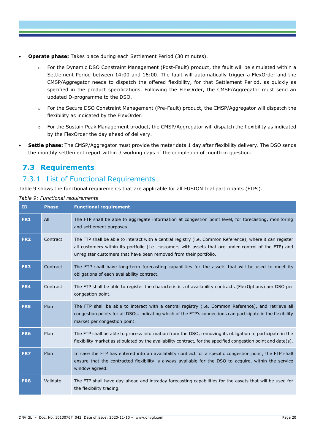- **Operate phase:** Takes place during each Settlement Period (30 minutes).
	- o For the Dynamic DSO Constraint Management (Post-Fault) product, the fault will be simulated within a Settlement Period between 14:00 and 16:00. The fault will automatically trigger a FlexOrder and the CMSP/Aggregator needs to dispatch the offered flexibility, for that Settlement Period, as quickly as specified in the product specifications. Following the FlexOrder, the CMSP/Aggregator must send an updated D-programme to the DSO.
	- o For the Secure DSO Constraint Management (Pre-Fault) product, the CMSP/Aggregator will dispatch the flexibility as indicated by the FlexOrder.
	- $\circ$  For the Sustain Peak Management product, the CMSP/Aggregator will dispatch the flexibility as indicated by the FlexOrder the day ahead of delivery.
- **Settle phase:** The CMSP/Aggregator must provide the meter data 1 day after flexibility delivery. The DSO sends the monthly settlement report within 3 working days of the completion of month in question.

### **7.3 Requirements**

### 7.3.1 List of Functional Requirements

[Table 9](#page-22-0) shows the functional requirements that are applicable for all FUSION trial participants (FTPs).

**ID Phase Functional requirement FR1** All The FTP shall be able to aggregate information at congestion point level, for forecasting, monitoring and settlement purposes. **FR2** Contract The FTP shall be able to interact with a central registry (i.e. Common Reference), where it can register all customers within its portfolio (i.e. customers with assets that are under control of the FTP) and unregister customers that have been removed from their portfolio. **FR3** Contract The FTP shall have long-term forecasting capabilities for the assets that will be used to meet its obligations of each availability contract. **FR4** Contract The FTP shall be able to register the characteristics of availability contracts (FlexOptions) per DSO per congestion point. **FR5** Plan The FTP shall be able to interact with a central registry (i.e. Common Reference), and retrieve all congestion points for all DSOs, indicating which of the FTP's connections can participate in the flexibility market per congestion point. **FR6** Plan The FTP shall be able to process information from the DSO, removing its obligation to participate in the flexibility market as stipulated by the availability contract, for the specified congestion point and date(s). **FR7** Plan In case the FTP has entered into an availability contract for a specific congestion point, the FTP shall ensure that the contracted flexibility is always available for the DSO to acquire, within the service window agreed. **FR8** Validate The FTP shall have day-ahead and intraday forecasting capabilities for the assets that will be used for the flexibility trading.

<span id="page-22-0"></span>*Table 9: Functional requirements*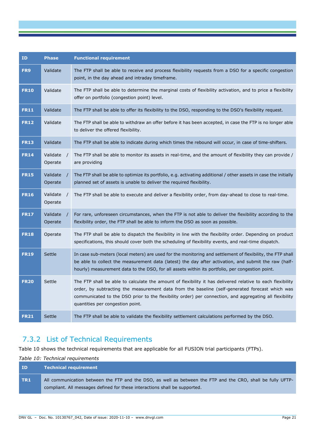| ID          | <b>Phase</b>                      | <b>Functional requirement</b>                                                                                                                                                                                                                                                                                                                                |
|-------------|-----------------------------------|--------------------------------------------------------------------------------------------------------------------------------------------------------------------------------------------------------------------------------------------------------------------------------------------------------------------------------------------------------------|
| FR9         | Validate                          | The FTP shall be able to receive and process flexibility requests from a DSO for a specific congestion<br>point, in the day ahead and intraday timeframe.                                                                                                                                                                                                    |
| <b>FR10</b> | Validate                          | The FTP shall be able to determine the marginal costs of flexibility activation, and to price a flexibility<br>offer on portfolio (congestion point) level.                                                                                                                                                                                                  |
| <b>FR11</b> | Validate                          | The FTP shall be able to offer its flexibility to the DSO, responding to the DSO's flexibility request.                                                                                                                                                                                                                                                      |
| <b>FR12</b> | Validate                          | The FTP shall be able to withdraw an offer before it has been accepted, in case the FTP is no longer able<br>to deliver the offered flexibility.                                                                                                                                                                                                             |
| <b>FR13</b> | Validate                          | The FTP shall be able to indicate during which times the rebound will occur, in case of time-shifters.                                                                                                                                                                                                                                                       |
| <b>FR14</b> | Validate<br>Operate               | The FTP shall be able to monitor its assets in real-time, and the amount of flexibility they can provide /<br>are providing                                                                                                                                                                                                                                  |
| <b>FR15</b> | Validate<br>$\sqrt{ }$<br>Operate | The FTP shall be able to optimize its portfolio, e.g. activating additional / other assets in case the initially<br>planned set of assets is unable to deliver the required flexibility.                                                                                                                                                                     |
| <b>FR16</b> | Validate<br>Operate               | The FTP shall be able to execute and deliver a flexibility order, from day-ahead to close to real-time.                                                                                                                                                                                                                                                      |
| <b>FR17</b> | Validate<br>Operate               | For rare, unforeseen circumstances, when the FTP is not able to deliver the flexibility according to the<br>flexibility order, the FTP shall be able to inform the DSO as soon as possible.                                                                                                                                                                  |
| <b>FR18</b> | Operate                           | The FTP shall be able to dispatch the flexibility in line with the flexibility order. Depending on product<br>specifications, this should cover both the scheduling of flexibility events, and real-time dispatch.                                                                                                                                           |
| <b>FR19</b> | Settle                            | In case sub-meters (local meters) are used for the monitoring and settlement of flexibility, the FTP shall<br>be able to collect the measurement data (latest) the day after activation, and submit the raw (half-<br>hourly) measurement data to the DSO, for all assets within its portfolio, per congestion point.                                        |
| <b>FR20</b> | Settle                            | The FTP shall be able to calculate the amount of flexibility it has delivered relative to each flexibility<br>order, by subtracting the measurement data from the baseline (self-generated forecast which was<br>communicated to the DSO prior to the flexibility order) per connection, and aggregating all flexibility<br>quantities per congestion point. |
| <b>FR21</b> | Settle                            | The FTP shall be able to validate the flexibility settlement calculations performed by the DSO.                                                                                                                                                                                                                                                              |

# 7.3.2 List of Technical Requirements

[Table 10](#page-23-0) shows the technical requirements that are applicable for all FUSION trial participants (FTPs).

#### <span id="page-23-0"></span>*Table 10: Technical requirements*

| <b>ID</b>       | <b>Technical requirement</b>                                                                                                                                                              |
|-----------------|-------------------------------------------------------------------------------------------------------------------------------------------------------------------------------------------|
| TR <sub>1</sub> | All communication between the FTP and the DSO, as well as between the FTP and the CRO, shall be fully UFTP-<br>compliant. All messages defined for these interactions shall be supported. |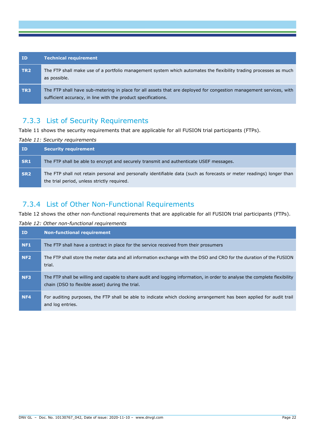| ID              | <b>Technical requirement</b>                                                                                                                                                        |
|-----------------|-------------------------------------------------------------------------------------------------------------------------------------------------------------------------------------|
| TR <sub>2</sub> | The FTP shall make use of a portfolio management system which automates the flexibility trading processes as much<br>as possible.                                                   |
| TR <sub>3</sub> | The FTP shall have sub-metering in place for all assets that are deployed for congestion management services, with<br>sufficient accuracy, in line with the product specifications. |

# 7.3.3 List of Security Requirements

[Table 11](#page-24-0) shows the security requirements that are applicable for all FUSION trial participants (FTPs).

#### <span id="page-24-0"></span>*Table 11: Security requirements*

| <b>ID</b>       | <b>Security requirement</b>                                                                                                                                         |
|-----------------|---------------------------------------------------------------------------------------------------------------------------------------------------------------------|
| SR <sub>1</sub> | The FTP shall be able to encrypt and securely transmit and authenticate USEF messages.                                                                              |
| SR <sub>2</sub> | The FTP shall not retain personal and personally identifiable data (such as forecasts or meter readings) longer than<br>the trial period, unless strictly required. |

# 7.3.4 List of Other Non-Functional Requirements

[Table 12](#page-24-1) shows the other non-functional requirements that are applicable for all FUSION trial participants (FTPs).

#### <span id="page-24-1"></span>*Table 12: Other non-functional requirements*

| ID              | <b>Non-functional requirement</b>                                                                                                                                            |
|-----------------|------------------------------------------------------------------------------------------------------------------------------------------------------------------------------|
| NF <sub>1</sub> | The FTP shall have a contract in place for the service received from their prosumers                                                                                         |
| NF <sub>2</sub> | The FTP shall store the meter data and all information exchange with the DSO and CRO for the duration of the FUSION<br>trial.                                                |
| NF <sub>3</sub> | The FTP shall be willing and capable to share audit and logging information, in order to analyse the complete flexibility<br>chain (DSO to flexible asset) during the trial. |
| NF <sub>4</sub> | For auditing purposes, the FTP shall be able to indicate which clocking arrangement has been applied for audit trail<br>and log entries.                                     |